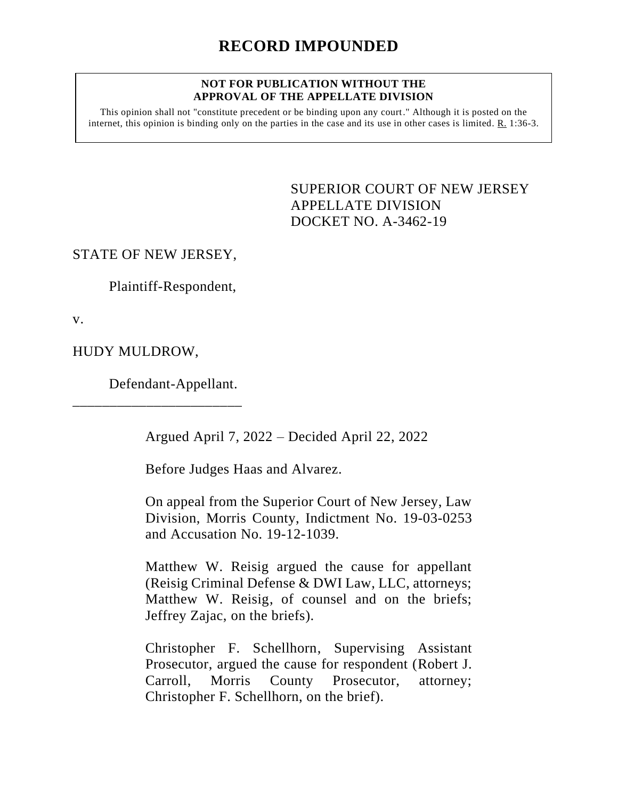## **NOT FOR PUBLICATION WITHOUT THE APPROVAL OF THE APPELLATE DIVISION**

This opinion shall not "constitute precedent or be binding upon any court." Although it is posted on the internet, this opinion is binding only on the parties in the case and its use in other cases is limited.  $R_1$  1:36-3.

> <span id="page-0-0"></span>SUPERIOR COURT OF NEW JERSEY APPELLATE DIVISION DOCKET NO. A-3462-19

STATE OF NEW JERSEY,

Plaintiff-Respondent,

v.

HUDY MULDROW,

Defendant-Appellant.

\_\_\_\_\_\_\_\_\_\_\_\_\_\_\_\_\_\_\_\_\_\_\_

Argued April 7, 2022 – Decided April 22, 2022

Before Judges Haas and Alvarez.

On appeal from the Superior Court of New Jersey, Law Division, Morris County, Indictment No. 19-03-0253 and Accusation No. 19-12-1039.

Matthew W. Reisig argued the cause for appellant (Reisig Criminal Defense & DWI Law, LLC, attorneys; Matthew W. Reisig, of counsel and on the briefs; Jeffrey Zajac, on the briefs).

Christopher F. Schellhorn, Supervising Assistant Prosecutor, argued the cause for respondent (Robert J. Carroll, Morris County Prosecutor, attorney; Christopher F. Schellhorn, on the brief).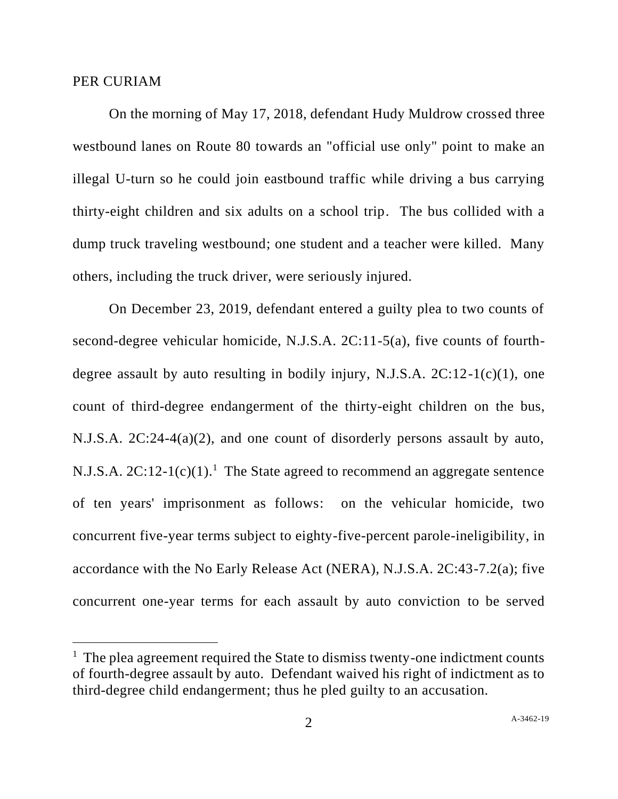## PER CURIAM

On the morning of May 17, 2018, defendant Hudy Muldrow crossed three westbound lanes on Route 80 towards an "official use only" point to make an illegal U-turn so he could join eastbound traffic while driving a bus carrying thirty-eight children and six adults on a school trip. The bus collided with a dump truck traveling westbound; one student and a teacher were killed. Many others, including the truck driver, were seriously injured.

On December 23, 2019, defendant entered a guilty plea to two counts of second-degree vehicular homicide, N.J.S.A. 2C:11-5(a), five counts of fourthdegree assault by auto resulting in bodily injury, N.J.S.A.  $2C:12-1(c)(1)$ , one count of third-degree endangerment of the thirty-eight children on the bus, N.J.S.A. 2C:24-4(a)(2), and one count of disorderly persons assault by auto, N.J.S.A.  $2C:12-1(c)(1)$ .<sup>1</sup> The State agreed to recommend an aggregate sentence of ten years' imprisonment as follows: on the vehicular homicide, two concurrent five-year terms subject to eighty-five-percent parole-ineligibility, in accordance with the No Early Release Act (NERA), N.J.S.A. 2C:43-7.2(a); five concurrent one-year terms for each assault by auto conviction to be served

<sup>&</sup>lt;sup>1</sup> The plea agreement required the State to dismiss twenty-one indictment counts of fourth-degree assault by auto. Defendant waived his right of indictment as to third-degree child endangerment; thus he pled guilty to an accusation.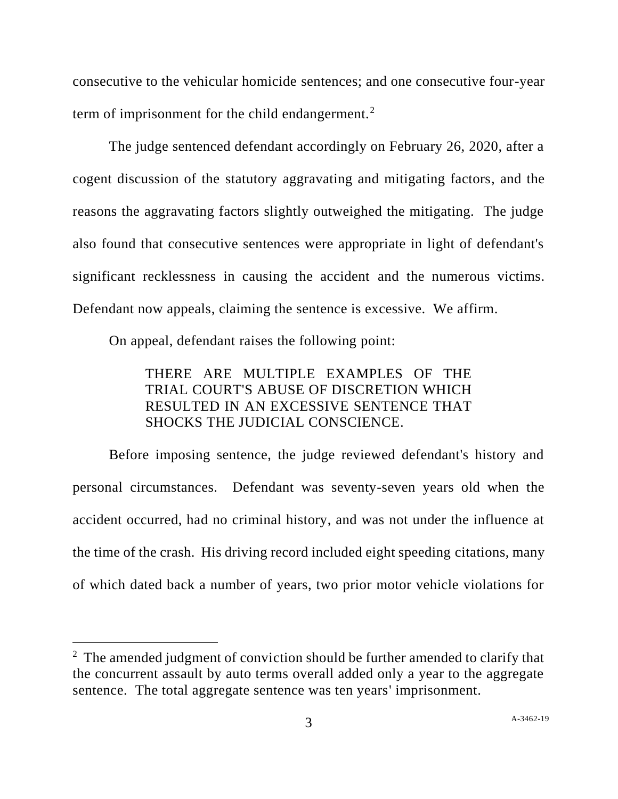consecutive to the vehicular homicide sentences; and one consecutive four-year term of imprisonment for the child endangerment.<sup>2</sup>

The judge sentenced defendant accordingly on February 26, 2020, after a cogent discussion of the statutory aggravating and mitigating factors, and the reasons the aggravating factors slightly outweighed the mitigating. The judge also found that consecutive sentences were appropriate in light of defendant's significant recklessness in causing the accident and the numerous victims. Defendant now appeals, claiming the sentence is excessive. We affirm.

On appeal, defendant raises the following point:

## THERE ARE MULTIPLE EXAMPLES OF THE TRIAL COURT'S ABUSE OF DISCRETION WHICH RESULTED IN AN EXCESSIVE SENTENCE THAT SHOCKS THE JUDICIAL CONSCIENCE.

Before imposing sentence, the judge reviewed defendant's history and personal circumstances. Defendant was seventy-seven years old when the accident occurred, had no criminal history, and was not under the influence at the time of the crash. His driving record included eight speeding citations, many of which dated back a number of years, two prior motor vehicle violations for

<sup>&</sup>lt;sup>2</sup> The amended judgment of conviction should be further amended to clarify that the concurrent assault by auto terms overall added only a year to the aggregate sentence. The total aggregate sentence was ten years' imprisonment.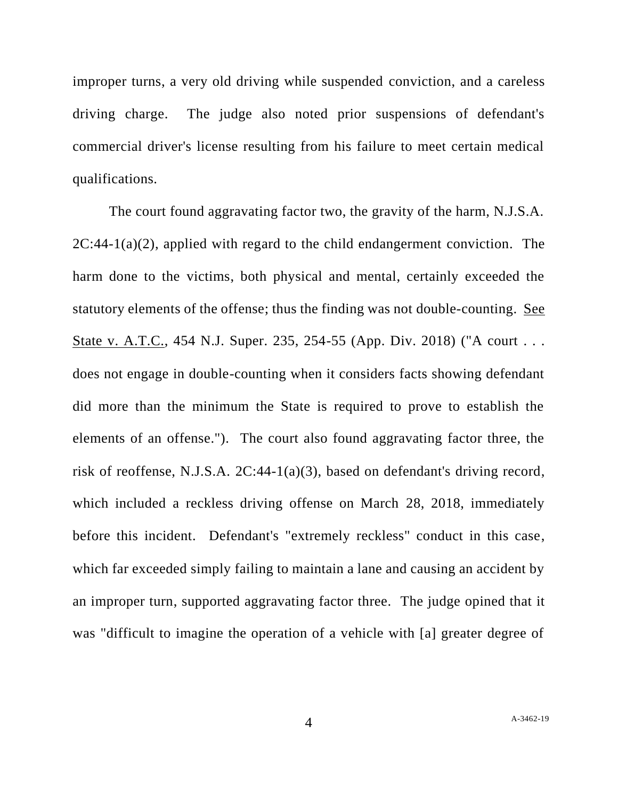improper turns, a very old driving while suspended conviction, and a careless driving charge. The judge also noted prior suspensions of defendant's commercial driver's license resulting from his failure to meet certain medical qualifications.

The court found aggravating factor two, the gravity of the harm, N.J.S.A.  $2C:44-1(a)(2)$ , applied with regard to the child endangerment conviction. The harm done to the victims, both physical and mental, certainly exceeded the statutory elements of the offense; thus the finding was not double-counting. See State v. A.T.C., 454 N.J. Super. 235, 254-55 (App. Div. 2018) ("A court . . . does not engage in double-counting when it considers facts showing defendant did more than the minimum the State is required to prove to establish the elements of an offense."). The court also found aggravating factor three, the risk of reoffense, N.J.S.A. 2C:44-1(a)(3), based on defendant's driving record, which included a reckless driving offense on March 28, 2018, immediately before this incident. Defendant's "extremely reckless" conduct in this case, which far exceeded simply failing to maintain a lane and causing an accident by an improper turn, supported aggravating factor three. The judge opined that it was "difficult to imagine the operation of a vehicle with [a] greater degree of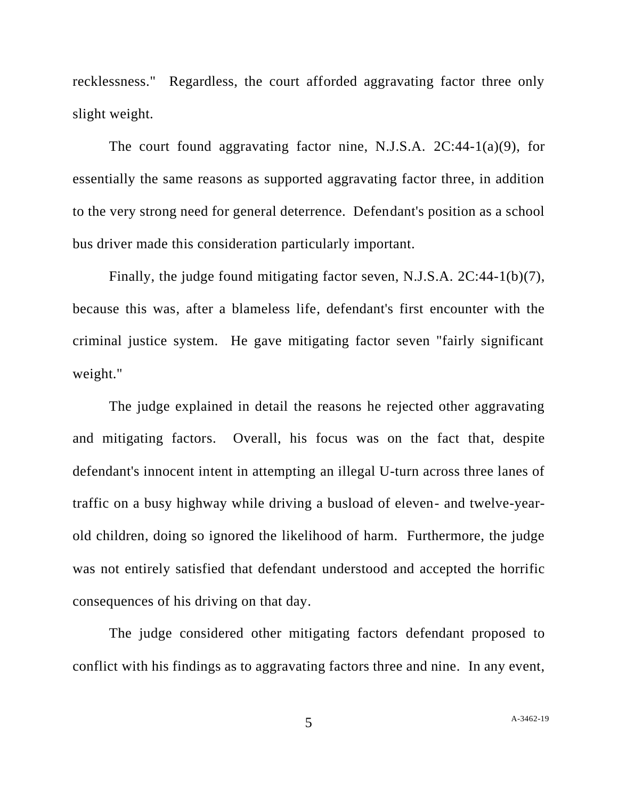recklessness." Regardless, the court afforded aggravating factor three only slight weight.

The court found aggravating factor nine, N.J.S.A. 2C:44-1(a)(9), for essentially the same reasons as supported aggravating factor three, in addition to the very strong need for general deterrence. Defendant's position as a school bus driver made this consideration particularly important.

Finally, the judge found mitigating factor seven, N.J.S.A. 2C:44-1(b)(7), because this was, after a blameless life, defendant's first encounter with the criminal justice system. He gave mitigating factor seven "fairly significant weight."

The judge explained in detail the reasons he rejected other aggravating and mitigating factors. Overall, his focus was on the fact that, despite defendant's innocent intent in attempting an illegal U-turn across three lanes of traffic on a busy highway while driving a busload of eleven- and twelve-yearold children, doing so ignored the likelihood of harm. Furthermore, the judge was not entirely satisfied that defendant understood and accepted the horrific consequences of his driving on that day.

The judge considered other mitigating factors defendant proposed to conflict with his findings as to aggravating factors three and nine. In any event,

5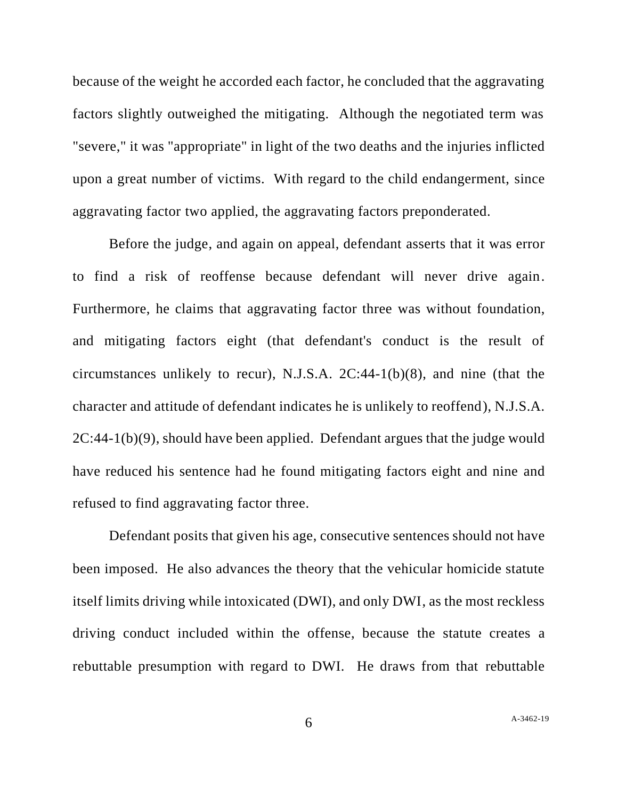because of the weight he accorded each factor, he concluded that the aggravating factors slightly outweighed the mitigating. Although the negotiated term was "severe," it was "appropriate" in light of the two deaths and the injuries inflicted upon a great number of victims. With regard to the child endangerment, since aggravating factor two applied, the aggravating factors preponderated.

Before the judge, and again on appeal, defendant asserts that it was error to find a risk of reoffense because defendant will never drive again. Furthermore, he claims that aggravating factor three was without foundation, and mitigating factors eight (that defendant's conduct is the result of circumstances unlikely to recur), N.J.S.A. 2C:44-1(b)(8), and nine (that the character and attitude of defendant indicates he is unlikely to reoffend), N.J.S.A. 2C:44-1(b)(9), should have been applied. Defendant argues that the judge would have reduced his sentence had he found mitigating factors eight and nine and refused to find aggravating factor three.

Defendant posits that given his age, consecutive sentences should not have been imposed. He also advances the theory that the vehicular homicide statute itself limits driving while intoxicated (DWI), and only DWI, as the most reckless driving conduct included within the offense, because the statute creates a rebuttable presumption with regard to DWI. He draws from that rebuttable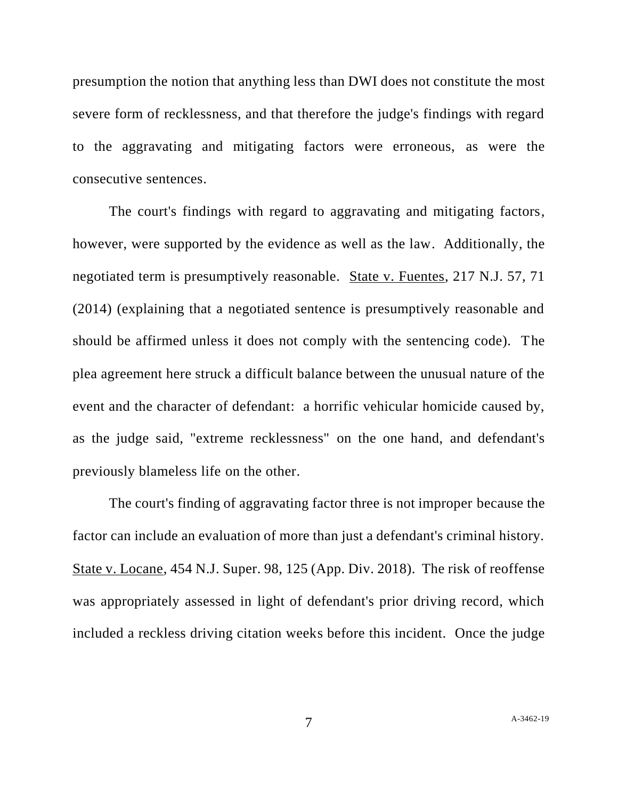presumption the notion that anything less than DWI does not constitute the most severe form of recklessness, and that therefore the judge's findings with regard to the aggravating and mitigating factors were erroneous, as were the consecutive sentences.

The court's findings with regard to aggravating and mitigating factors, however, were supported by the evidence as well as the law. Additionally, the negotiated term is presumptively reasonable. State v. Fuentes, 217 N.J. 57, 71 (2014) (explaining that a negotiated sentence is presumptively reasonable and should be affirmed unless it does not comply with the sentencing code). The plea agreement here struck a difficult balance between the unusual nature of the event and the character of defendant: a horrific vehicular homicide caused by, as the judge said, "extreme recklessness" on the one hand, and defendant's previously blameless life on the other.

The court's finding of aggravating factor three is not improper because the factor can include an evaluation of more than just a defendant's criminal history. State v. Locane, 454 N.J. Super. 98, 125 (App. Div. 2018). The risk of reoffense was appropriately assessed in light of defendant's prior driving record, which included a reckless driving citation weeks before this incident. Once the judge